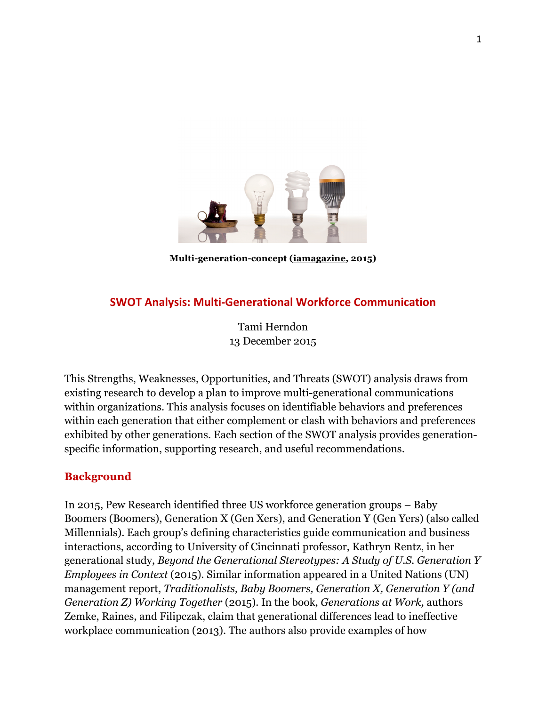

#### **Multi-generation-concept (iamagazine, 2015)**

# **SWOT Analysis: Multi-Generational Workforce Communication**

Tami Herndon 13 December 2015

This Strengths, Weaknesses, Opportunities, and Threats (SWOT) analysis draws from existing research to develop a plan to improve multi-generational communications within organizations. This analysis focuses on identifiable behaviors and preferences within each generation that either complement or clash with behaviors and preferences exhibited by other generations. Each section of the SWOT analysis provides generationspecific information, supporting research, and useful recommendations.

## **Background**

In 2015, Pew Research identified three US workforce generation groups – Baby Boomers (Boomers), Generation X (Gen Xers), and Generation Y (Gen Yers) (also called Millennials). Each group's defining characteristics guide communication and business interactions, according to University of Cincinnati professor, Kathryn Rentz, in her generational study, *Beyond the Generational Stereotypes: A Study of U.S. Generation Y Employees in Context* (2015). Similar information appeared in a United Nations (UN) management report, *Traditionalists, Baby Boomers, Generation X, Generation Y (and Generation Z) Working Together* (2015). In the book, *Generations at Work,* authors Zemke, Raines, and Filipczak, claim that generational differences lead to ineffective workplace communication (2013). The authors also provide examples of how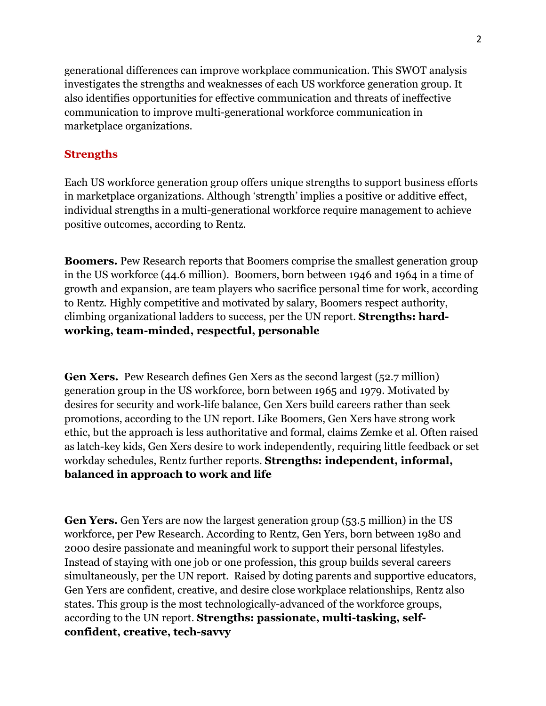generational differences can improve workplace communication. This SWOT analysis investigates the strengths and weaknesses of each US workforce generation group. It also identifies opportunities for effective communication and threats of ineffective communication to improve multi-generational workforce communication in marketplace organizations.

# **Strengths**

Each US workforce generation group offers unique strengths to support business efforts in marketplace organizations. Although 'strength' implies a positive or additive effect, individual strengths in a multi-generational workforce require management to achieve positive outcomes, according to Rentz.

**Boomers.** Pew Research reports that Boomers comprise the smallest generation group in the US workforce (44.6 million). Boomers, born between 1946 and 1964 in a time of growth and expansion, are team players who sacrifice personal time for work, according to Rentz. Highly competitive and motivated by salary, Boomers respect authority, climbing organizational ladders to success, per the UN report. **Strengths: hardworking, team-minded, respectful, personable**

**Gen Xers.** Pew Research defines Gen Xers as the second largest (52.7 million) generation group in the US workforce, born between 1965 and 1979. Motivated by desires for security and work-life balance, Gen Xers build careers rather than seek promotions, according to the UN report. Like Boomers, Gen Xers have strong work ethic, but the approach is less authoritative and formal, claims Zemke et al. Often raised as latch-key kids, Gen Xers desire to work independently, requiring little feedback or set workday schedules, Rentz further reports. **Strengths: independent, informal, balanced in approach to work and life**

**Gen Yers.** Gen Yers are now the largest generation group (53.5 million) in the US workforce, per Pew Research. According to Rentz, Gen Yers, born between 1980 and 2000 desire passionate and meaningful work to support their personal lifestyles. Instead of staying with one job or one profession, this group builds several careers simultaneously, per the UN report. Raised by doting parents and supportive educators, Gen Yers are confident, creative, and desire close workplace relationships, Rentz also states. This group is the most technologically-advanced of the workforce groups, according to the UN report. **Strengths: passionate, multi-tasking, selfconfident, creative, tech-savvy**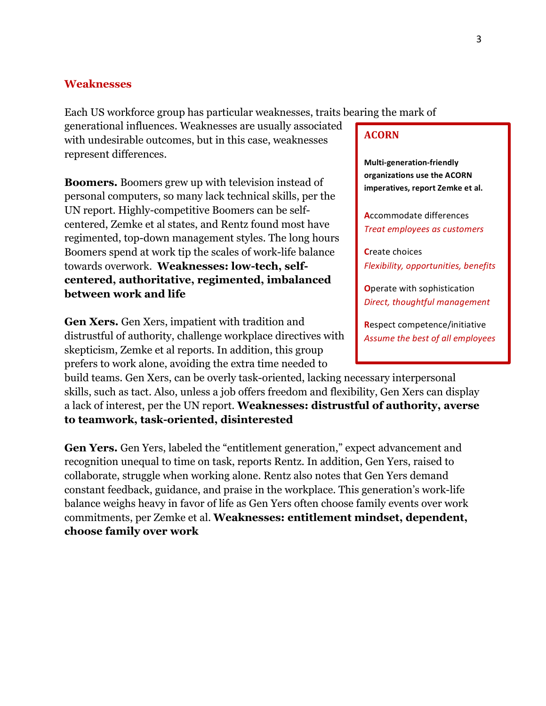#### **Weaknesses**

Each US workforce group has particular weaknesses, traits bearing the mark of

generational influences. Weaknesses are usually associated with undesirable outcomes, but in this case, weaknesses represent differences.

**Boomers.** Boomers grew up with television instead of personal computers, so many lack technical skills, per the UN report. Highly-competitive Boomers can be selfcentered, Zemke et al states, and Rentz found most have regimented, top-down management styles. The long hours Boomers spend at work tip the scales of work-life balance towards overwork. **Weaknesses: low-tech, selfcentered, authoritative, regimented, imbalanced between work and life**

**Gen Xers.** Gen Xers, impatient with tradition and distrustful of authority, challenge workplace directives with skepticism, Zemke et al reports. In addition, this group prefers to work alone, avoiding the extra time needed to

build teams. Gen Xers, can be overly task-oriented, lacking necessary interpersonal skills, such as tact. Also, unless a job offers freedom and flexibility, Gen Xers can display a lack of interest, per the UN report. **Weaknesses: distrustful of authority, averse to teamwork, task-oriented, disinterested** 

**Gen Yers.** Gen Yers, labeled the "entitlement generation," expect advancement and recognition unequal to time on task, reports Rentz. In addition, Gen Yers, raised to collaborate, struggle when working alone. Rentz also notes that Gen Yers demand constant feedback, guidance, and praise in the workplace. This generation's work-life balance weighs heavy in favor of life as Gen Yers often choose family events over work commitments, per Zemke et al. **Weaknesses: entitlement mindset, dependent, choose family over work**

#### **ACORN**

**Multi-generation-friendly organizations use the ACORN** imperatives, report Zemke et al.

**Accommodate differences** *Treat employees as customers* 

**C**reate choices *Flexibility, opportunities, benefits* 

**O**perate with sophistication **Direct, thoughtful management** 

**Respect competence/initiative** Assume the best of all employees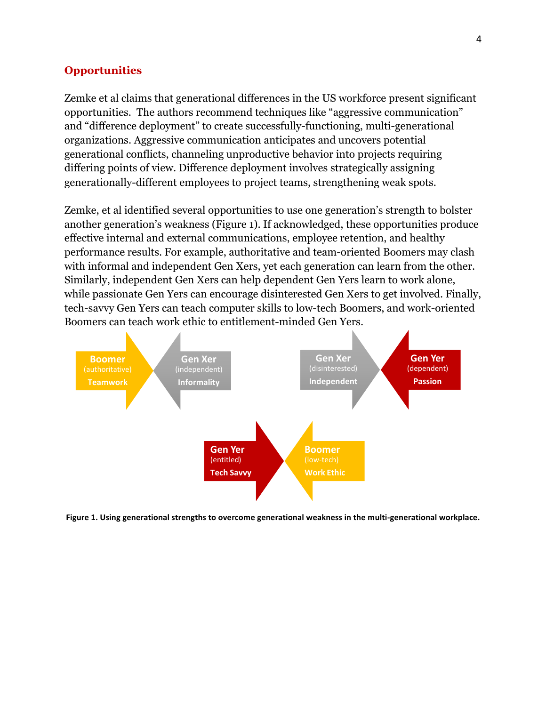#### **Opportunities**

Zemke et al claims that generational differences in the US workforce present significant opportunities. The authors recommend techniques like "aggressive communication" and "difference deployment" to create successfully-functioning, multi-generational organizations. Aggressive communication anticipates and uncovers potential generational conflicts, channeling unproductive behavior into projects requiring differing points of view. Difference deployment involves strategically assigning generationally-different employees to project teams, strengthening weak spots.

Zemke, et al identified several opportunities to use one generation's strength to bolster another generation's weakness (Figure 1). If acknowledged, these opportunities produce effective internal and external communications, employee retention, and healthy performance results. For example, authoritative and team-oriented Boomers may clash with informal and independent Gen Xers, yet each generation can learn from the other. Similarly, independent Gen Xers can help dependent Gen Yers learn to work alone, while passionate Gen Yers can encourage disinterested Gen Xers to get involved. Finally, tech-savvy Gen Yers can teach computer skills to low-tech Boomers, and work-oriented Boomers can teach work ethic to entitlement-minded Gen Yers.



Figure 1. Using generational strengths to overcome generational weakness in the multi-generational workplace.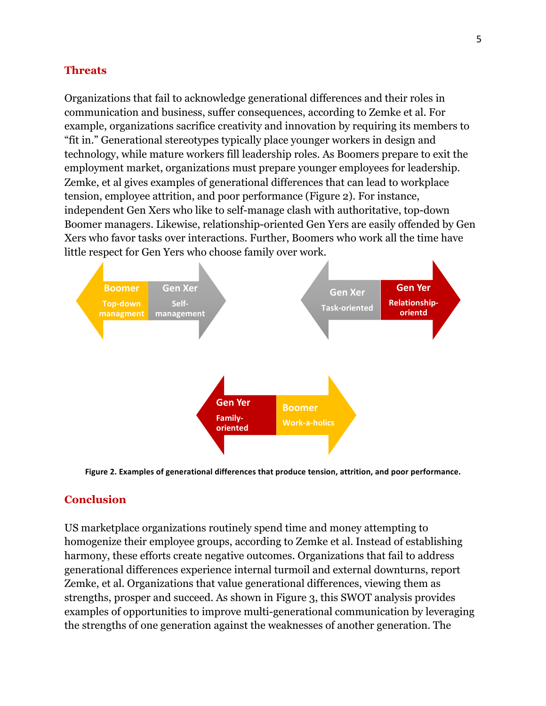## **Threats**

Organizations that fail to acknowledge generational differences and their roles in communication and business, suffer consequences, according to Zemke et al. For example, organizations sacrifice creativity and innovation by requiring its members to "fit in." Generational stereotypes typically place younger workers in design and technology, while mature workers fill leadership roles. As Boomers prepare to exit the employment market, organizations must prepare younger employees for leadership. Zemke, et al gives examples of generational differences that can lead to workplace tension, employee attrition, and poor performance (Figure 2). For instance, independent Gen Xers who like to self-manage clash with authoritative, top-down Boomer managers. Likewise, relationship-oriented Gen Yers are easily offended by Gen Xers who favor tasks over interactions. Further, Boomers who work all the time have little respect for Gen Yers who choose family over work.



Figure 2. Examples of generational differences that produce tension, attrition, and poor performance.

# **Conclusion**

US marketplace organizations routinely spend time and money attempting to homogenize their employee groups, according to Zemke et al. Instead of establishing harmony, these efforts create negative outcomes. Organizations that fail to address generational differences experience internal turmoil and external downturns, report Zemke, et al. Organizations that value generational differences, viewing them as strengths, prosper and succeed. As shown in Figure 3, this SWOT analysis provides examples of opportunities to improve multi-generational communication by leveraging the strengths of one generation against the weaknesses of another generation. The